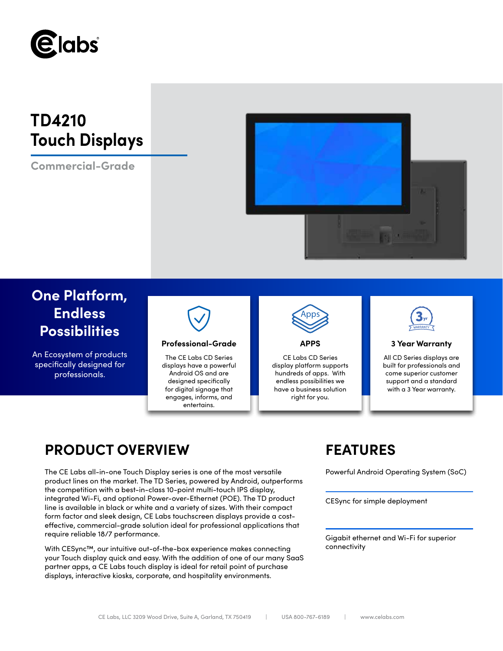

# **TD4210 Touch Displays**

**Commercial-Grade**



# **One Platform, Endless Possibilities**

An Ecosystem of products specifically designed for professionals.



# **Professional-Grade APPS 3 Year Warranty**

The CE Labs CD Series displays have a powerful Android OS and are designed specifically for digital signage that engages, informs, and entertains.



CE Labs CD Series display platform supports hundreds of apps. With endless possibilities we have a business solution right for you.



All CD Series displays are built for professionals and come superior customer support and a standard with a 3 Year warranty.

# **PRODUCT OVERVIEW FEATURES**

The CE Labs all-in-one Touch Display series is one of the most versatile Powerful Android Operating System (SoC) product lines on the market. The TD Series, powered by Android, outperforms the competition with a best-in-class 10-point multi-touch IPS display, integrated Wi-Fi, and optional Power-over-Ethernet (POE). The TD product line is available in black or white and a variety of sizes. With their compact form factor and sleek design, CE Labs touchscreen displays provide a costeffective, commercial-grade solution ideal for professional applications that require reliable 18/7 performance.

With CESync™, our intuitive out-of-the-box experience makes connecting your Touch display quick and easy. With the addition of one of our many SaaS partner apps, a CE Labs touch display is ideal for retail point of purchase displays, interactive kiosks, corporate, and hospitality environments.

CESync for simple deployment

Gigabit ethernet and Wi-Fi for superior connectivity